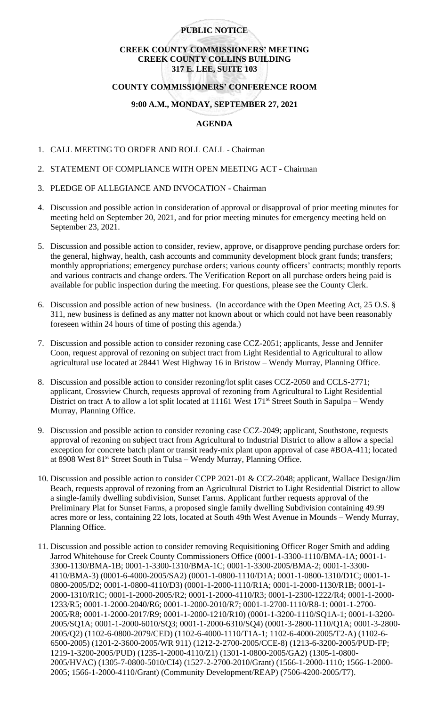#### **PUBLIC NOTICE**

### **CREEK COUNTY COMMISSIONERS' MEETING CREEK COUNTY COLLINS BUILDING 317 E. LEE, SUITE 103**

### **COUNTY COMMISSIONERS' CONFERENCE ROOM**

# **9:00 A.M., MONDAY, SEPTEMBER 27, 2021**

## **AGENDA**

- 1. CALL MEETING TO ORDER AND ROLL CALL Chairman
- 2. STATEMENT OF COMPLIANCE WITH OPEN MEETING ACT Chairman
- 3. PLEDGE OF ALLEGIANCE AND INVOCATION Chairman
- 4. Discussion and possible action in consideration of approval or disapproval of prior meeting minutes for meeting held on September 20, 2021, and for prior meeting minutes for emergency meeting held on September 23, 2021.
- 5. Discussion and possible action to consider, review, approve, or disapprove pending purchase orders for: the general, highway, health, cash accounts and community development block grant funds; transfers; monthly appropriations; emergency purchase orders; various county officers' contracts; monthly reports and various contracts and change orders. The Verification Report on all purchase orders being paid is available for public inspection during the meeting. For questions, please see the County Clerk.
- 6. Discussion and possible action of new business. (In accordance with the Open Meeting Act, 25 O.S. § 311, new business is defined as any matter not known about or which could not have been reasonably foreseen within 24 hours of time of posting this agenda.)
- 7. Discussion and possible action to consider rezoning case CCZ-2051; applicants, Jesse and Jennifer Coon, request approval of rezoning on subject tract from Light Residential to Agricultural to allow agricultural use located at 28441 West Highway 16 in Bristow – Wendy Murray, Planning Office.
- 8. Discussion and possible action to consider rezoning/lot split cases CCZ-2050 and CCLS-2771; applicant, Crossview Church, requests approval of rezoning from Agricultural to Light Residential District on tract A to allow a lot split located at 11161 West 171<sup>st</sup> Street South in Sapulpa – Wendy Murray, Planning Office.
- 9. Discussion and possible action to consider rezoning case CCZ-2049; applicant, Southstone, requests approval of rezoning on subject tract from Agricultural to Industrial District to allow a allow a special exception for concrete batch plant or transit ready-mix plant upon approval of case #BOA-411; located at 8908 West 81<sup>st</sup> Street South in Tulsa – Wendy Murray, Planning Office.
- 10. Discussion and possible action to consider CCPP 2021-01 & CCZ-2048; applicant, Wallace Design/Jim Beach, requests approval of rezoning from an Agricultural District to Light Residential District to allow a single-family dwelling subdivision, Sunset Farms. Applicant further requests approval of the Preliminary Plat for Sunset Farms, a proposed single family dwelling Subdivision containing 49.99 acres more or less, containing 22 lots, located at South 49th West Avenue in Mounds – Wendy Murray, Planning Office.
- 11. Discussion and possible action to consider removing Requisitioning Officer Roger Smith and adding Jarrod Whitehouse for Creek County Commissioners Office (0001-1-3300-1110/BMA-1A; 0001-1- 3300-1130/BMA-1B; 0001-1-3300-1310/BMA-1C; 0001-1-3300-2005/BMA-2; 0001-1-3300- 4110/BMA-3) (0001-6-4000-2005/SA2) (0001-1-0800-1110/D1A; 0001-1-0800-1310/D1C; 0001-1- 0800-2005/D2; 0001-1-0800-4110/D3) (0001-1-2000-1110/R1A; 0001-1-2000-1130/R1B; 0001-1- 2000-1310/R1C; 0001-1-2000-2005/R2; 0001-1-2000-4110/R3; 0001-1-2300-1222/R4; 0001-1-2000- 1233/R5; 0001-1-2000-2040/R6; 0001-1-2000-2010/R7; 0001-1-2700-1110/R8-1: 0001-1-2700- 2005/R8; 0001-1-2000-2017/R9; 0001-1-2000-1210/R10) (0001-1-3200-1110/SQ1A-1; 0001-1-3200- 2005/SQ1A; 0001-1-2000-6010/SQ3; 0001-1-2000-6310/SQ4) (0001-3-2800-1110/Q1A; 0001-3-2800- 2005/Q2) (1102-6-0800-2079/CED) (1102-6-4000-1110/T1A-1; 1102-6-4000-2005/T2-A) (1102-6- 6500-2005) (1201-2-3600-2005/WR 911) (1212-2-2700-2005/CCE-8) (1213-6-3200-2005/PUD-FP; 1219-1-3200-2005/PUD) (1235-1-2000-4110/Z1) (1301-1-0800-2005/GA2) (1305-1-0800- 2005/HVAC) (1305-7-0800-5010/CI4) (1527-2-2700-2010/Grant) (1566-1-2000-1110; 1566-1-2000- 2005; 1566-1-2000-4110/Grant) (Community Development/REAP) (7506-4200-2005/T7).